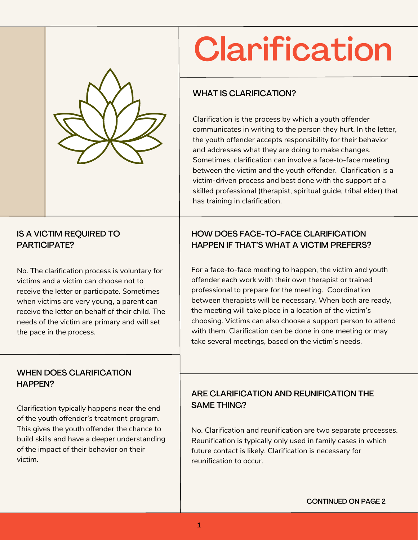

# **Clarification**

## WHAT IS CLARIFICATION?

Clarification is the process by which a youth offender communicates in writing to the person they hurt. In the letter, the youth offender accepts responsibility for their behavior and addresses what they are doing to make changes. Sometimes, clarification can involve a face-to-face meeting between the victim and the youth offender. Clarification is a victim-driven process and best done with the support of a skilled professional (therapist, spiritual guide, tribal elder) that has training in clarification.

#### IS A VICTIM REQUIRED TO PARTICIPATE?

No. The clarification process is voluntary for victims and a victim can choose not to receive the letter or participate. Sometimes when victims are very young, a parent can receive the letter on behalf of their child. The needs of the victim are primary and will set the pace in the process.

# HOW DOES FACE-TO-FACE CLARIFICATION HAPPEN IF THAT'S WHAT A VICTIM PREFERS?

For a face-to-face meeting to happen, the victim and youth offender each work with their own therapist or trained professional to prepare for the meeting. Coordination between therapists will be necessary. When both are ready, the meeting will take place in a location of the victim's choosing. Victims can also choose a support person to attend with them. Clarification can be done in one meeting or may take several meetings, based on the victim's needs.

#### WHEN DOES CLARIFICATION HAPPEN?

Clarification typically happens near the end of the youth offender's treatment program. This gives the youth offender the chance to build skills and have a deeper understanding of the impact of their behavior on their victim.

# ARE CLARIFICATION AND REUNIFICATION THE SAME THING?

No. Clarification and reunification are two separate processes. Reunification is typically only used in family cases in which future contact is likely. Clarification is necessary for reunification to occur.